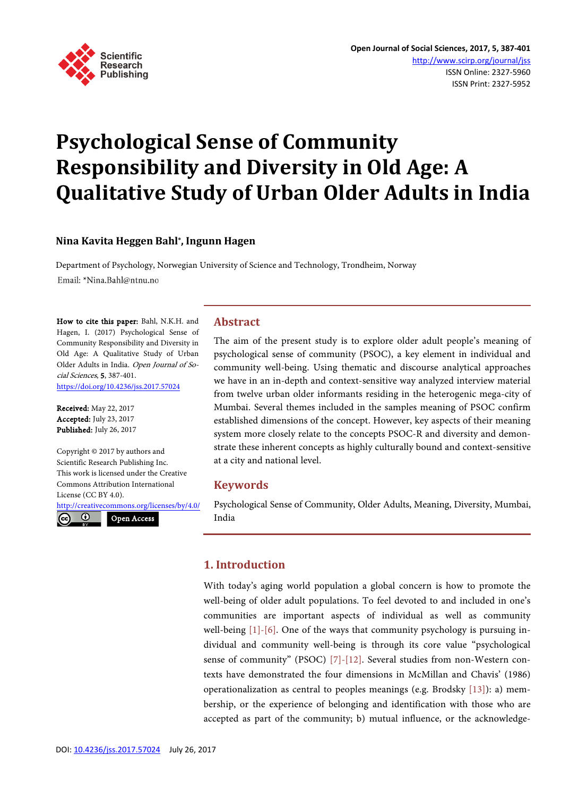

# **Psychological Sense of Community Responsibility and Diversity in Old Age: A Qualitative Study of Urban Older Adults in India**

## **Nina Kavita Heggen Bahl\*, Ingunn Hagen**

Department of Psychology, Norwegian University of Science and Technology, Trondheim, Norway Email: \*Nina.Bahl@ntnu.no

How to cite this paper: Bahl, N.K.H. and Hagen, I. (2017) Psychological Sense of Community Responsibility and Diversity in Old Age: A Qualitative Study of Urban Older Adults in India. Open Journal of Social Sciences, 5, 387-401. <https://doi.org/10.4236/jss.2017.57024>

Received: May 22, 2017 Accepted: July 23, 2017 Published: July 26, 2017

Copyright © 2017 by authors and Scientific Research Publishing Inc. This work is licensed under the Creative Commons Attribution International License (CC BY 4.0).

<http://creativecommons.org/licenses/by/4.0/>

 $\odot$  $(cc)$ 

Open Access

## **Abstract**

The aim of the present study is to explore older adult people's meaning of psychological sense of community (PSOC), a key element in individual and community well-being. Using thematic and discourse analytical approaches we have in an in-depth and context-sensitive way analyzed interview material from twelve urban older informants residing in the heterogenic mega-city of Mumbai. Several themes included in the samples meaning of PSOC confirm established dimensions of the concept. However, key aspects of their meaning system more closely relate to the concepts PSOC-R and diversity and demonstrate these inherent concepts as highly culturally bound and context-sensitive at a city and national level.

# **Keywords**

Psychological Sense of Community, Older Adults, Meaning, Diversity, Mumbai, India

# **1. Introduction**

With today's aging world population a global concern is how to promote the well-being of older adult populations. To feel devoted to and included in one's communities are important aspects of individual as well as community well-being [\[1\]-](#page-10-0)[\[6\].](#page-10-1) One of the ways that community psychology is pursuing individual and community well-being is through its core value "psychological sense of community" (PSOC) [\[7\]-](#page-10-2)[\[12\].](#page-11-0) Several studies from non-Western contexts have demonstrated the four dimensions in McMillan and Chavis' (1986) operationalization as central to peoples meanings (e.g. Brodsky [\[13\]\)](#page-11-1): a) membership, or the experience of belonging and identification with those who are accepted as part of the community; b) mutual influence, or the acknowledge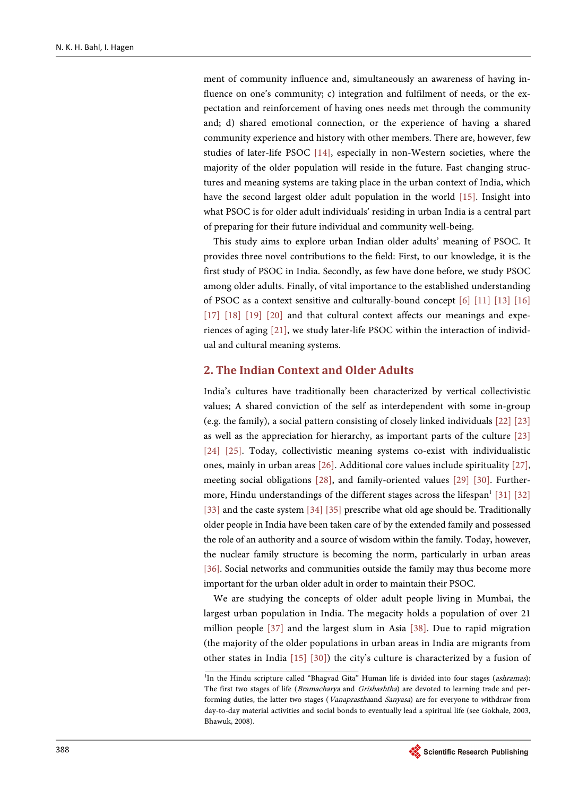ment of community influence and, simultaneously an awareness of having influence on one's community; c) integration and fulfilment of needs, or the expectation and reinforcement of having ones needs met through the community and; d) shared emotional connection, or the experience of having a shared community experience and history with other members. There are, however, few studies of later-life PSOC [\[14\],](#page-11-2) especially in non-Western societies, where the majority of the older population will reside in the future. Fast changing structures and meaning systems are taking place in the urban context of India, which have the second largest older adult population in the world [\[15\].](#page-11-3) Insight into what PSOC is for older adult individuals' residing in urban India is a central part of preparing for their future individual and community well-being.

This study aims to explore urban Indian older adults' meaning of PSOC. It provides three novel contributions to the field: First, to our knowledge, it is the first study of PSOC in India. Secondly, as few have done before, we study PSOC among older adults. Finally, of vital importance to the established understanding of PSOC as a context sensitive and culturally-bound concept [\[6\]](#page-10-1) [\[11\]](#page-11-4) [\[13\]](#page-11-1) [\[16\]](#page-11-5) [\[17\]](#page-11-6) [\[18\]](#page-11-7) [\[19\]](#page-11-8) [\[20\]](#page-11-9) and that cultural context affects our meanings and experiences of aging [\[21\],](#page-11-10) we study later-life PSOC within the interaction of individual and cultural meaning systems.

# **2. The Indian Context and Older Adults**

India's cultures have traditionally been characterized by vertical collectivistic values; A shared conviction of the self as interdependent with some in-group (e.g. the family), a social pattern consisting of closely linked individuals [\[22\]](#page-11-11) [\[23\]](#page-11-12) as well as the appreciation for hierarchy, as important parts of the culture [\[23\]](#page-11-12) [\[24\]](#page-11-13) [\[25\].](#page-11-14) Today, collectivistic meaning systems co-exist with individualistic ones, mainly in urban area[s \[26\].](#page-11-15) Additional core values include spirituality [\[27\],](#page-12-0)  meeting social obligations [\[28\],](#page-12-1) and family-oriented values [\[29\]](#page-12-2) [\[30\].](#page-12-3) Furthermore, Hindu understandings of the different stages across the lifespan $1$  [\[31\]](#page-12-4) [\[32\]](#page-12-5) [\[33\]](#page-12-6) and the caste system [\[34\]](#page-12-7) [\[35\]](#page-12-8) prescribe what old age should be. Traditionally older people in India have been taken care of by the extended family and possessed the role of an authority and a source of wisdom within the family. Today, however, the nuclear family structure is becoming the norm, particularly in urban areas [\[36\].](#page-12-9) Social networks and communities outside the family may thus become more important for the urban older adult in order to maintain their PSOC.

We are studying the concepts of older adult people living in Mumbai, the largest urban population in India. The megacity holds a population of over 21 million people [\[37\]](#page-12-10) and the largest slum in Asia [\[38\].](#page-12-11) Due to rapid migration (the majority of the older populations in urban areas in India are migrants from other states in India [\[15\]](#page-11-3) [\[30\]\)](#page-12-3) the city's culture is characterized by a fusion of

<sup>&</sup>lt;sup>1</sup>In the Hindu scripture called "Bhagvad Gita" Human life is divided into four stages (ashramas): The first two stages of life (*Bramacharya* and *Grishashtha*) are devoted to learning trade and performing duties, the latter two stages (*Vanaprastha*and Sanyasa) are for everyone to withdraw from day-to-day material activities and social bonds to eventually lead a spiritual life (see Gokhale, 2003, Bhawuk, 2008).

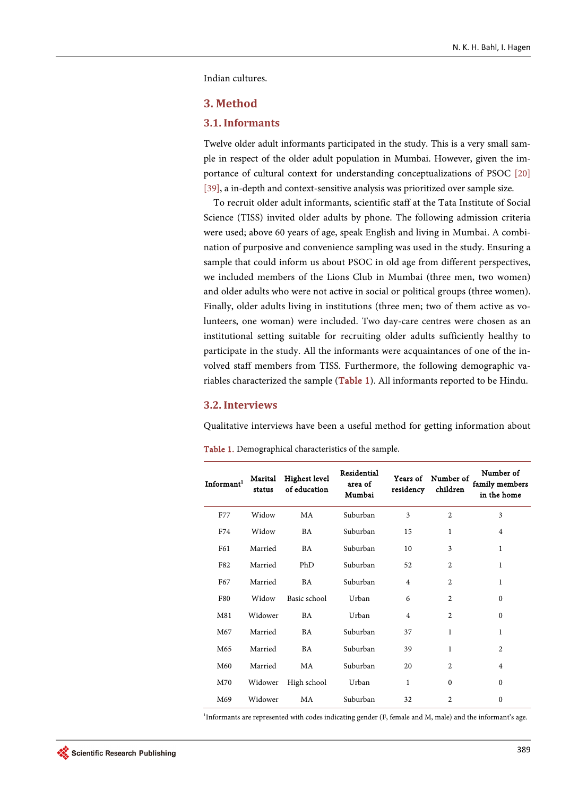Indian cultures.

#### **3. Method**

#### **3.1. Informants**

Twelve older adult informants participated in the study. This is a very small sample in respect of the older adult population in Mumbai. However, given the importance of cultural context for understanding conceptualizations of PSOC [\[20\]](#page-11-9) [\[39\],](#page-12-12) a in-depth and context-sensitive analysis was prioritized over sample size.

To recruit older adult informants, scientific staff at the Tata Institute of Social Science (TISS) invited older adults by phone. The following admission criteria were used; above 60 years of age, speak English and living in Mumbai. A combination of purposive and convenience sampling was used in the study. Ensuring a sample that could inform us about PSOC in old age from different perspectives, we included members of the Lions Club in Mumbai (three men, two women) and older adults who were not active in social or political groups (three women). Finally, older adults living in institutions (three men; two of them active as volunteers, one woman) were included. Two day-care centres were chosen as an institutional setting suitable for recruiting older adults sufficiently healthy to participate in the study. All the informants were acquaintances of one of the involved staff members from TISS. Furthermore, the following demographic va-riables characterized the sample [\(Table 1\)](#page-2-0). All informants reported to be Hindu.

#### **3.2. Interviews**

Qualitative interviews have been a useful method for getting information about

| Informant <sup>1</sup> | Marital<br>status | Highest level<br>of education | Residential<br>area of<br>Mumbai | Years of<br>residency | Number of<br>children | Number of<br>family members<br>in the home |
|------------------------|-------------------|-------------------------------|----------------------------------|-----------------------|-----------------------|--------------------------------------------|
| F77                    | Widow             | MA                            | Suburban                         | 3                     | $\overline{c}$        | 3                                          |
| F74                    | Widow             | BA                            | Suburban                         | 15                    | 1                     | $\overline{4}$                             |
| F61                    | Married           | BA                            | Suburban                         | 10                    | 3                     | 1                                          |
| F82                    | Married           | PhD                           | Suburban                         | 52                    | $\overline{2}$        | 1                                          |
| F67                    | Married           | BA                            | Suburban                         | $\overline{4}$        | $\overline{2}$        | 1                                          |
| F80                    | Widow             | Basic school                  | Urban                            | 6                     | $\overline{c}$        | $\Omega$                                   |
| M81                    | Widower           | BA                            | Urban                            | $\overline{4}$        | $\overline{2}$        | $\mathbf{0}$                               |
| M67                    | Married           | BA                            | Suburban                         | 37                    | 1                     | $\mathbf{1}$                               |
| M65                    | Married           | BA                            | Suburban                         | 39                    | 1                     | 2                                          |
| M60                    | Married           | MA                            | Suburban                         | 20                    | $\overline{2}$        | $\overline{4}$                             |
| M70                    | Widower           | High school                   | Urban                            | 1                     | $\theta$              | $\Omega$                                   |
| M69                    | Widower           | MA                            | Suburban                         | 32                    | $\overline{2}$        | $\mathbf{0}$                               |

<span id="page-2-0"></span>Table 1. Demographical characteristics of the sample.

1 Informants are represented with codes indicating gender (F, female and M, male) and the informant's age.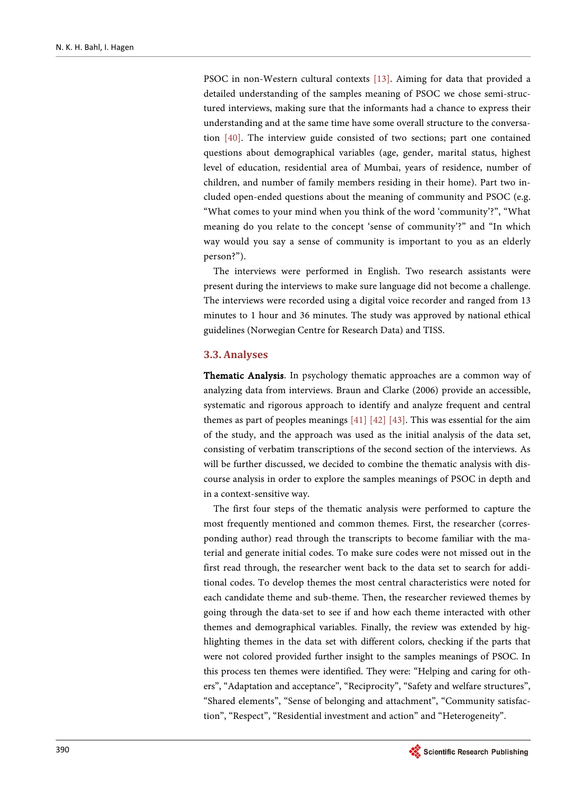PSOC in non-Western cultural contexts [\[13\].](#page-11-1) Aiming for data that provided a detailed understanding of the samples meaning of PSOC we chose semi-structured interviews, making sure that the informants had a chance to express their understanding and at the same time have some overall structure to the conversation [\[40\].](#page-12-13) The interview guide consisted of two sections; part one contained questions about demographical variables (age, gender, marital status, highest level of education, residential area of Mumbai, years of residence, number of children, and number of family members residing in their home). Part two included open-ended questions about the meaning of community and PSOC (e.g. "What comes to your mind when you think of the word 'community'?", "What meaning do you relate to the concept 'sense of community'?" and "In which way would you say a sense of community is important to you as an elderly person?").

The interviews were performed in English. Two research assistants were present during the interviews to make sure language did not become a challenge. The interviews were recorded using a digital voice recorder and ranged from 13 minutes to 1 hour and 36 minutes. The study was approved by national ethical guidelines (Norwegian Centre for Research Data) and TISS.

#### **3.3. Analyses**

Thematic Analysis. In psychology thematic approaches are a common way of analyzing data from interviews. Braun and Clarke (2006) provide an accessible, systematic and rigorous approach to identify and analyze frequent and central themes as part of peoples meanings [\[41\]](#page-12-14) [\[42\]](#page-12-15) [\[43\].](#page-12-16) This was essential for the aim of the study, and the approach was used as the initial analysis of the data set, consisting of verbatim transcriptions of the second section of the interviews. As will be further discussed, we decided to combine the thematic analysis with discourse analysis in order to explore the samples meanings of PSOC in depth and in a context-sensitive way.

The first four steps of the thematic analysis were performed to capture the most frequently mentioned and common themes. First, the researcher (corresponding author) read through the transcripts to become familiar with the material and generate initial codes. To make sure codes were not missed out in the first read through, the researcher went back to the data set to search for additional codes. To develop themes the most central characteristics were noted for each candidate theme and sub-theme. Then, the researcher reviewed themes by going through the data-set to see if and how each theme interacted with other themes and demographical variables. Finally, the review was extended by highlighting themes in the data set with different colors, checking if the parts that were not colored provided further insight to the samples meanings of PSOC. In this process ten themes were identified. They were: "Helping and caring for others", "Adaptation and acceptance", "Reciprocity", "Safety and welfare structures", "Shared elements", "Sense of belonging and attachment", "Community satisfaction", "Respect", "Residential investment and action" and "Heterogeneity".

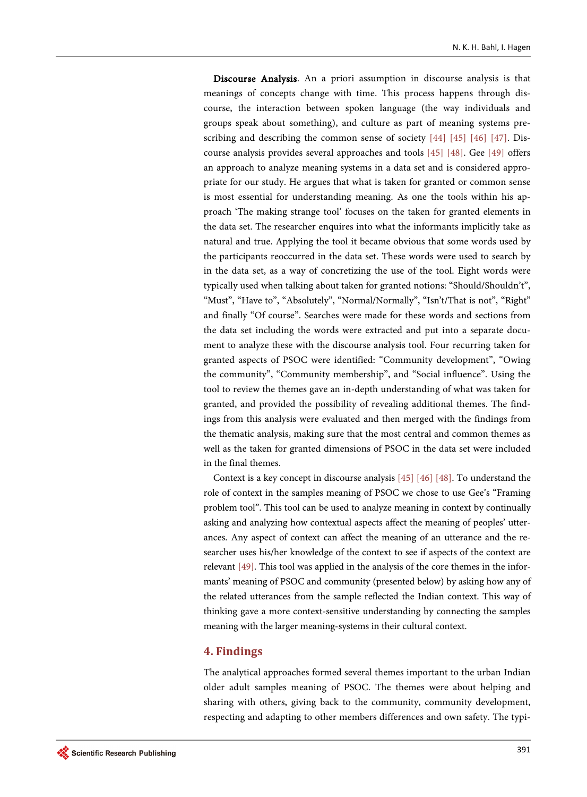Discourse Analysis. An a priori assumption in discourse analysis is that meanings of concepts change with time. This process happens through discourse, the interaction between spoken language (the way individuals and groups speak about something), and culture as part of meaning systems prescribing and describing the common sense of society [\[44\]](#page-12-17) [\[45\]](#page-12-18) [\[46\]](#page-13-0) [\[47\].](#page-13-1) Discourse analysis provides several approaches and tools [\[45\]](#page-12-18) [\[48\].](#page-13-2) Gee [\[49\]](#page-13-3) offers an approach to analyze meaning systems in a data set and is considered appropriate for our study. He argues that what is taken for granted or common sense is most essential for understanding meaning. As one the tools within his approach 'The making strange tool' focuses on the taken for granted elements in the data set. The researcher enquires into what the informants implicitly take as natural and true. Applying the tool it became obvious that some words used by the participants reoccurred in the data set. These words were used to search by in the data set, as a way of concretizing the use of the tool. Eight words were typically used when talking about taken for granted notions: "Should/Shouldn't", "Must", "Have to", "Absolutely", "Normal/Normally", "Isn't/That is not", "Right" and finally "Of course". Searches were made for these words and sections from the data set including the words were extracted and put into a separate document to analyze these with the discourse analysis tool. Four recurring taken for granted aspects of PSOC were identified: "Community development", "Owing the community", "Community membership", and "Social influence". Using the tool to review the themes gave an in-depth understanding of what was taken for granted, and provided the possibility of revealing additional themes. The findings from this analysis were evaluated and then merged with the findings from the thematic analysis, making sure that the most central and common themes as well as the taken for granted dimensions of PSOC in the data set were included in the final themes.

Context is a key concept in discourse analysis [\[45\]](#page-12-18) [\[46\]](#page-13-0) [\[48\].](#page-13-2) To understand the role of context in the samples meaning of PSOC we chose to use Gee's "Framing problem tool". This tool can be used to analyze meaning in context by continually asking and analyzing how contextual aspects affect the meaning of peoples' utterances. Any aspect of context can affect the meaning of an utterance and the researcher uses his/her knowledge of the context to see if aspects of the context are relevant [\[49\].](#page-13-3) This tool was applied in the analysis of the core themes in the informants' meaning of PSOC and community (presented below) by asking how any of the related utterances from the sample reflected the Indian context. This way of thinking gave a more context-sensitive understanding by connecting the samples meaning with the larger meaning-systems in their cultural context.

# **4. Findings**

The analytical approaches formed several themes important to the urban Indian older adult samples meaning of PSOC. The themes were about helping and sharing with others, giving back to the community, community development, respecting and adapting to other members differences and own safety. The typi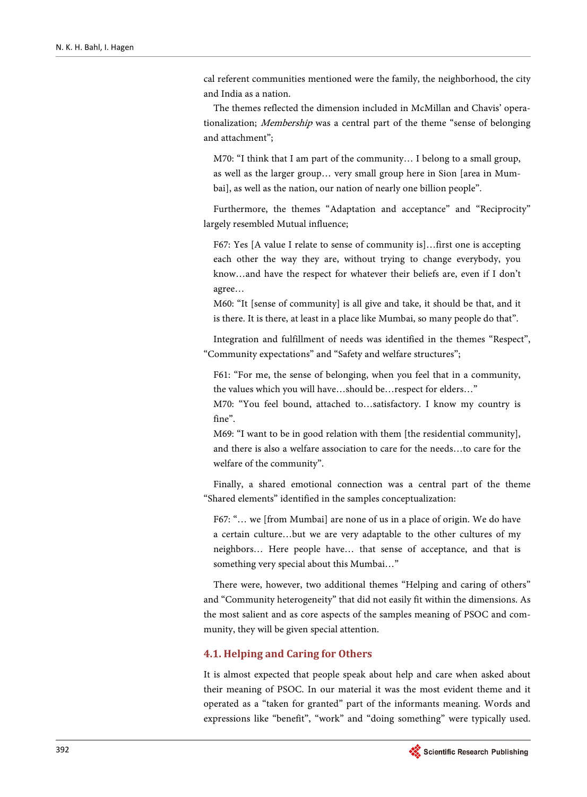cal referent communities mentioned were the family, the neighborhood, the city and India as a nation.

The themes reflected the dimension included in McMillan and Chavis' operationalization; Membership was a central part of the theme "sense of belonging and attachment";

M70: "I think that I am part of the community… I belong to a small group, as well as the larger group… very small group here in Sion [area in Mumbai], as well as the nation, our nation of nearly one billion people".

Furthermore, the themes "Adaptation and acceptance" and "Reciprocity" largely resembled Mutual influence;

F67: Yes [A value I relate to sense of community is]…first one is accepting each other the way they are, without trying to change everybody, you know…and have the respect for whatever their beliefs are, even if I don't agree…

M60: "It [sense of community] is all give and take, it should be that, and it is there. It is there, at least in a place like Mumbai, so many people do that".

Integration and fulfillment of needs was identified in the themes "Respect", "Community expectations" and "Safety and welfare structures";

F61: "For me, the sense of belonging, when you feel that in a community, the values which you will have…should be…respect for elders…"

M70: "You feel bound, attached to…satisfactory. I know my country is fine".

M69: "I want to be in good relation with them [the residential community], and there is also a welfare association to care for the needs…to care for the welfare of the community".

Finally, a shared emotional connection was a central part of the theme "Shared elements" identified in the samples conceptualization:

F67: "… we [from Mumbai] are none of us in a place of origin. We do have a certain culture…but we are very adaptable to the other cultures of my neighbors… Here people have… that sense of acceptance, and that is something very special about this Mumbai…"

There were, however, two additional themes "Helping and caring of others" and "Community heterogeneity" that did not easily fit within the dimensions. As the most salient and as core aspects of the samples meaning of PSOC and community, they will be given special attention.

## **4.1. Helping and Caring for Others**

It is almost expected that people speak about help and care when asked about their meaning of PSOC. In our material it was the most evident theme and it operated as a "taken for granted" part of the informants meaning. Words and expressions like "benefit", "work" and "doing something" were typically used.

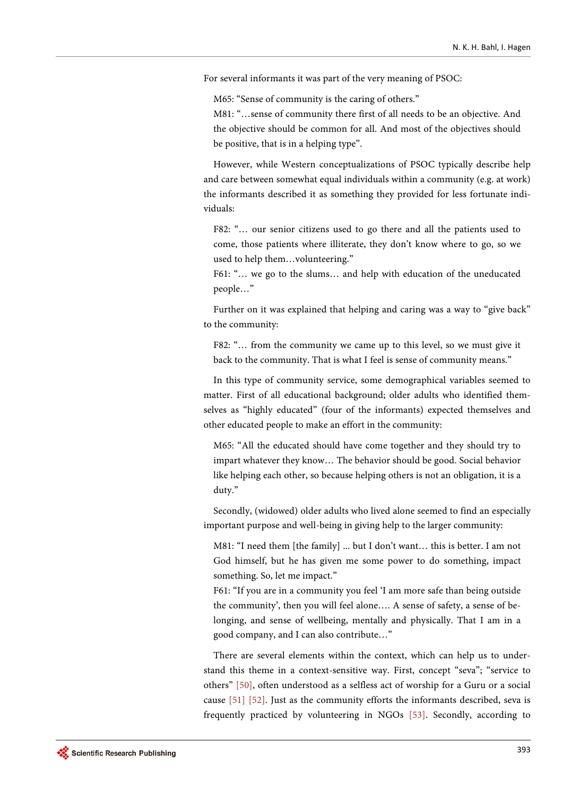For several informants it was part of the very meaning of PSOC:

M65: "Sense of community is the caring of others."

M81: "…sense of community there first of all needs to be an objective. And the objective should be common for all. And most of the objectives should be positive, that is in a helping type".

However, while Western conceptualizations of PSOC typically describe help and care between somewhat equal individuals within a community (e.g. at work) the informants described it as something they provided for less fortunate individuals:

F82: "… our senior citizens used to go there and all the patients used to come, those patients where illiterate, they don't know where to go, so we used to help them…volunteering."

F61: "… we go to the slums… and help with education of the uneducated people…"

Further on it was explained that helping and caring was a way to "give back" to the community:

F82: "… from the community we came up to this level, so we must give it back to the community. That is what I feel is sense of community means."

In this type of community service, some demographical variables seemed to matter. First of all educational background; older adults who identified themselves as "highly educated" (four of the informants) expected themselves and other educated people to make an effort in the community:

M65: "All the educated should have come together and they should try to impart whatever they know… The behavior should be good. Social behavior like helping each other, so because helping others is not an obligation, it is a duty."

Secondly, (widowed) older adults who lived alone seemed to find an especially important purpose and well-being in giving help to the larger community:

M81: "I need them [the family] ... but I don't want… this is better. I am not God himself, but he has given me some power to do something, impact something. So, let me impact."

F61: "If you are in a community you feel 'I am more safe than being outside the community', then you will feel alone…. A sense of safety, a sense of belonging, and sense of wellbeing, mentally and physically. That I am in a good company, and I can also contribute…"

There are several elements within the context, which can help us to understand this theme in a context-sensitive way. First, concept "seva"; "service to others" [\[50\],](#page-13-4) often understood as a selfless act of worship for a Guru or a social cause [\[51\]](#page-13-5) [\[52\].](#page-13-6) Just as the community efforts the informants described, seva is frequently practiced by volunteering in NGOs [\[53\].](#page-13-7) Secondly, according to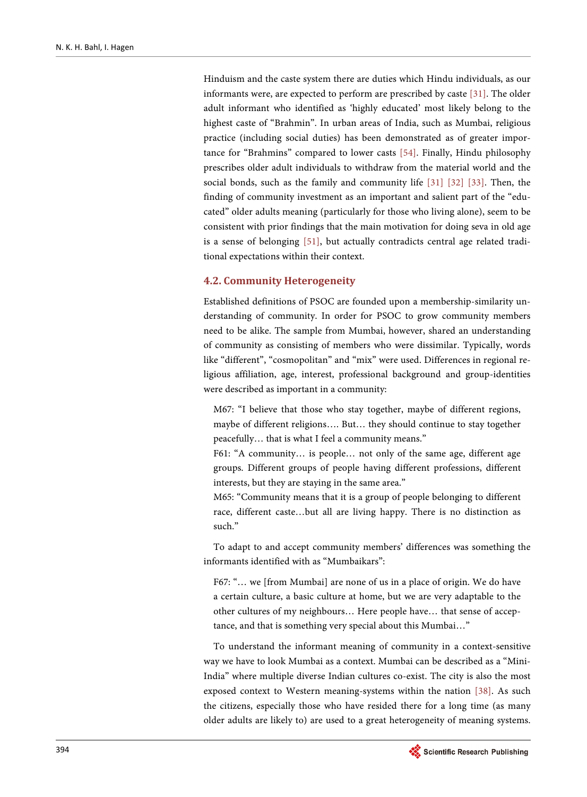Hinduism and the caste system there are duties which Hindu individuals, as our informants were, are expected to perform are prescribed by caste [\[31\].](#page-12-4) The older adult informant who identified as 'highly educated' most likely belong to the highest caste of "Brahmin". In urban areas of India, such as Mumbai, religious practice (including social duties) has been demonstrated as of greater importance for "Brahmins" compared to lower casts [\[54\].](#page-13-8) Finally, Hindu philosophy prescribes older adult individuals to withdraw from the material world and the social bonds, such as the family and community life [\[31\]](#page-12-4) [\[32\]](#page-12-5) [\[33\].](#page-12-6) Then, the finding of community investment as an important and salient part of the "educated" older adults meaning (particularly for those who living alone), seem to be consistent with prior findings that the main motivation for doing seva in old age is a sense of belonging [\[51\],](#page-13-5) but actually contradicts central age related traditional expectations within their context.

#### **4.2. Community Heterogeneity**

Established definitions of PSOC are founded upon a membership-similarity understanding of community. In order for PSOC to grow community members need to be alike. The sample from Mumbai, however, shared an understanding of community as consisting of members who were dissimilar. Typically, words like "different", "cosmopolitan" and "mix" were used. Differences in regional religious affiliation, age, interest, professional background and group-identities were described as important in a community:

M67: "I believe that those who stay together, maybe of different regions, maybe of different religions…. But… they should continue to stay together peacefully… that is what I feel a community means."

F61: "A community… is people… not only of the same age, different age groups. Different groups of people having different professions, different interests, but they are staying in the same area."

M65: "Community means that it is a group of people belonging to different race, different caste…but all are living happy. There is no distinction as such."

To adapt to and accept community members' differences was something the informants identified with as "Mumbaikars":

F67: "… we [from Mumbai] are none of us in a place of origin. We do have a certain culture, a basic culture at home, but we are very adaptable to the other cultures of my neighbours… Here people have… that sense of acceptance, and that is something very special about this Mumbai…"

To understand the informant meaning of community in a context-sensitive way we have to look Mumbai as a context. Mumbai can be described as a "Mini-India" where multiple diverse Indian cultures co-exist. The city is also the most exposed context to Western meaning-systems within the nation [\[38\].](#page-12-11) As such the citizens, especially those who have resided there for a long time (as many older adults are likely to) are used to a great heterogeneity of meaning systems.

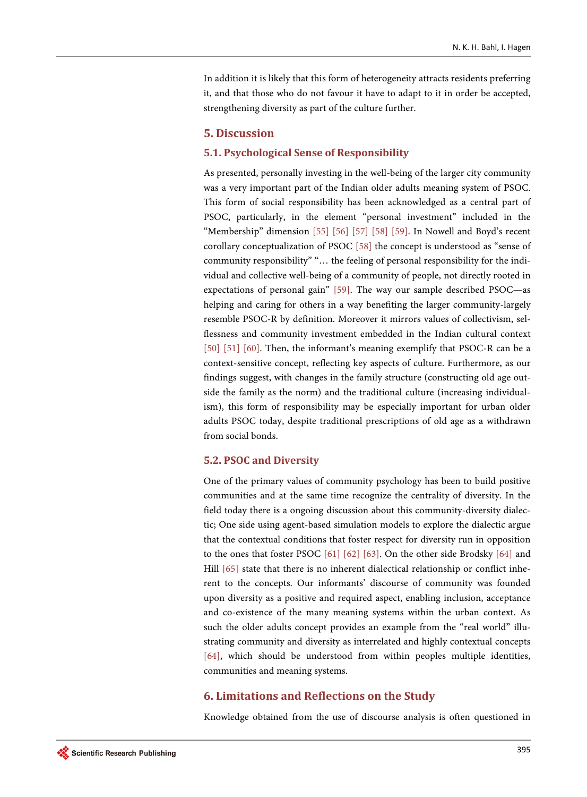In addition it is likely that this form of heterogeneity attracts residents preferring it, and that those who do not favour it have to adapt to it in order be accepted, strengthening diversity as part of the culture further.

## **5. Discussion**

#### **5.1. Psychological Sense of Responsibility**

As presented, personally investing in the well-being of the larger city community was a very important part of the Indian older adults meaning system of PSOC. This form of social responsibility has been acknowledged as a central part of PSOC, particularly, in the element "personal investment" included in the "Membership" dimension [\[55\]](#page-13-9) [\[56\]](#page-13-10) [\[57\]](#page-13-11) [\[58\]](#page-13-12) [\[59\].](#page-13-13) In Nowell and Boyd's recent corollary conceptualization of PSOC [\[58\]](#page-13-12) the concept is understood as "sense of community responsibility" "… the feeling of personal responsibility for the individual and collective well-being of a community of people, not directly rooted in expectations of personal gain" [\[59\].](#page-13-13) The way our sample described PSOC—as helping and caring for others in a way benefiting the larger community-largely resemble PSOC-R by definition. Moreover it mirrors values of collectivism, selflessness and community investment embedded in the Indian cultural context [\[50\]](#page-13-4) [\[51\]](#page-13-5) [\[60\].](#page-13-14) Then, the informant's meaning exemplify that PSOC-R can be a context-sensitive concept, reflecting key aspects of culture. Furthermore, as our findings suggest, with changes in the family structure (constructing old age outside the family as the norm) and the traditional culture (increasing individualism), this form of responsibility may be especially important for urban older adults PSOC today, despite traditional prescriptions of old age as a withdrawn from social bonds.

#### **5.2. PSOC and Diversity**

One of the primary values of community psychology has been to build positive communities and at the same time recognize the centrality of diversity. In the field today there is a ongoing discussion about this community-diversity dialectic; One side using agent-based simulation models to explore the dialectic argue that the contextual conditions that foster respect for diversity run in opposition to the ones that foster PSOC [\[61\]](#page-13-15) [\[62\]](#page-13-16) [\[63\].](#page-13-17) On the other side Brodsky [\[64\]](#page-14-0) and Hill [\[65\]](#page-14-1) state that there is no inherent dialectical relationship or conflict inherent to the concepts. Our informants' discourse of community was founded upon diversity as a positive and required aspect, enabling inclusion, acceptance and co-existence of the many meaning systems within the urban context. As such the older adults concept provides an example from the "real world" illustrating community and diversity as interrelated and highly contextual concepts [\[64\],](#page-14-0) which should be understood from within peoples multiple identities, communities and meaning systems.

#### **6. Limitations and Reflections on the Study**

Knowledge obtained from the use of discourse analysis is often questioned in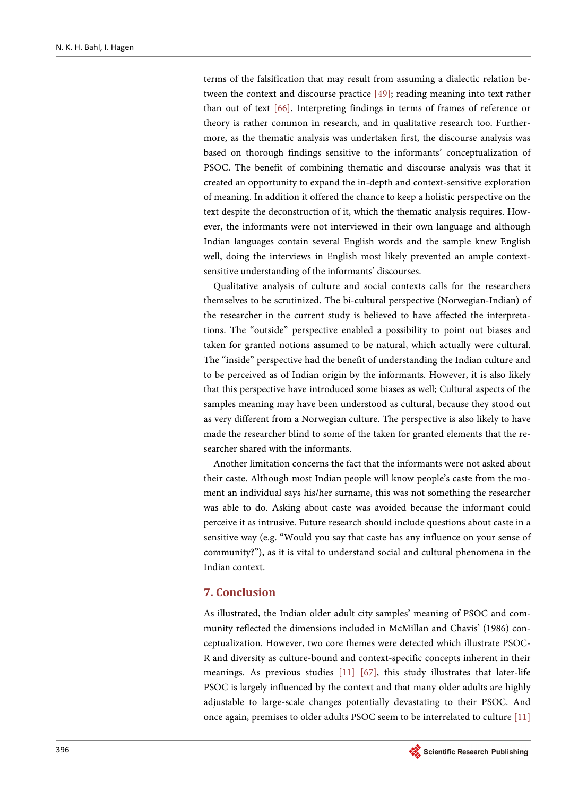terms of the falsification that may result from assuming a dialectic relation between the context and discourse practice [\[49\];](#page-13-3) reading meaning into text rather than out of text [\[66\].](#page-14-2) Interpreting findings in terms of frames of reference or theory is rather common in research, and in qualitative research too. Furthermore, as the thematic analysis was undertaken first, the discourse analysis was based on thorough findings sensitive to the informants' conceptualization of PSOC. The benefit of combining thematic and discourse analysis was that it created an opportunity to expand the in-depth and context-sensitive exploration of meaning. In addition it offered the chance to keep a holistic perspective on the text despite the deconstruction of it, which the thematic analysis requires. However, the informants were not interviewed in their own language and although Indian languages contain several English words and the sample knew English well, doing the interviews in English most likely prevented an ample contextsensitive understanding of the informants' discourses.

Qualitative analysis of culture and social contexts calls for the researchers themselves to be scrutinized. The bi-cultural perspective (Norwegian-Indian) of the researcher in the current study is believed to have affected the interpretations. The "outside" perspective enabled a possibility to point out biases and taken for granted notions assumed to be natural, which actually were cultural. The "inside" perspective had the benefit of understanding the Indian culture and to be perceived as of Indian origin by the informants. However, it is also likely that this perspective have introduced some biases as well; Cultural aspects of the samples meaning may have been understood as cultural, because they stood out as very different from a Norwegian culture. The perspective is also likely to have made the researcher blind to some of the taken for granted elements that the researcher shared with the informants.

Another limitation concerns the fact that the informants were not asked about their caste. Although most Indian people will know people's caste from the moment an individual says his/her surname, this was not something the researcher was able to do. Asking about caste was avoided because the informant could perceive it as intrusive. Future research should include questions about caste in a sensitive way (e.g. "Would you say that caste has any influence on your sense of community?"), as it is vital to understand social and cultural phenomena in the Indian context.

## **7. Conclusion**

As illustrated, the Indian older adult city samples' meaning of PSOC and community reflected the dimensions included in McMillan and Chavis' (1986) conceptualization. However, two core themes were detected which illustrate PSOC-R and diversity as culture-bound and context-specific concepts inherent in their meanings. As previous studies [\[11\]](#page-11-4) [\[67\],](#page-14-3) this study illustrates that later-life PSOC is largely influenced by the context and that many older adults are highly adjustable to large-scale changes potentially devastating to their PSOC. And once again, premises to older adults PSOC seem to be interrelated to culture [\[11\]](#page-11-4)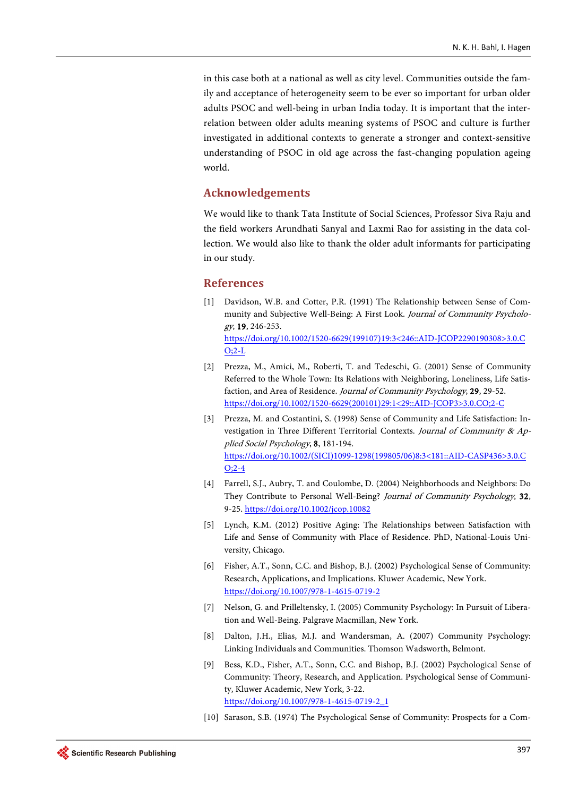in this case both at a national as well as city level. Communities outside the family and acceptance of heterogeneity seem to be ever so important for urban older adults PSOC and well-being in urban India today. It is important that the interrelation between older adults meaning systems of PSOC and culture is further investigated in additional contexts to generate a stronger and context-sensitive understanding of PSOC in old age across the fast-changing population ageing world.

## **Acknowledgements**

We would like to thank Tata Institute of Social Sciences, Professor Siva Raju and the field workers Arundhati Sanyal and Laxmi Rao for assisting in the data collection. We would also like to thank the older adult informants for participating in our study.

#### **References**

- <span id="page-10-0"></span>[1] Davidson, W.B. and Cotter, P.R. (1991) The Relationship between Sense of Community and Subjective Well-Being: A First Look. Journal of Community Psychology, 19, 246-253. [https://doi.org/10.1002/1520-6629\(199107\)19:3<246::AID-JCOP2290190308>3.0.C](https://doi.org/10.1002/1520-6629(199107)19:3%3C246::AID-JCOP2290190308%3E3.0.CO;2-L)  $O:2-L$
- [2] Prezza, M., Amici, M., Roberti, T. and Tedeschi, G. (2001) Sense of Community Referred to the Whole Town: Its Relations with Neighboring, Loneliness, Life Satisfaction, and Area of Residence. Journal of Community Psychology, 29, 29-52. [https://doi.org/10.1002/1520-6629\(200101\)29:1<29::AID-JCOP3>3.0.CO;2-C](https://doi.org/10.1002/1520-6629(200101)29:1%3C29::AID-JCOP3%3E3.0.CO;2-C)
- [3] Prezza, M. and Costantini, S. (1998) Sense of Community and Life Satisfaction: Investigation in Three Different Territorial Contexts. Journal of Community & Applied Social Psychology, 8, 181-194. [https://doi.org/10.1002/\(SICI\)1099-1298\(199805/06\)8:3<181::AID-CASP436>3.0.C](https://doi.org/10.1002/(SICI)1099-1298(199805/06)8:3%3C181::AID-CASP436%3E3.0.CO;2-4) [O;2-4](https://doi.org/10.1002/(SICI)1099-1298(199805/06)8:3%3C181::AID-CASP436%3E3.0.CO;2-4)
- [4] Farrell, S.J., Aubry, T. and Coulombe, D. (2004) Neighborhoods and Neighbors: Do They Contribute to Personal Well-Being? Journal of Community Psychology, 32, 9-25. <https://doi.org/10.1002/jcop.10082>
- [5] Lynch, K.M. (2012) Positive Aging: The Relationships between Satisfaction with Life and Sense of Community with Place of Residence. PhD, National-Louis University, Chicago.
- <span id="page-10-1"></span>[6] Fisher, A.T., Sonn, C.C. and Bishop, B.J. (2002) Psychological Sense of Community: Research, Applications, and Implications. Kluwer Academic, New York. <https://doi.org/10.1007/978-1-4615-0719-2>
- <span id="page-10-2"></span>[7] Nelson, G. and Prilleltensky, I. (2005) Community Psychology: In Pursuit of Liberation and Well-Being. Palgrave Macmillan, New York.
- [8] Dalton, J.H., Elias, M.J. and Wandersman, A. (2007) Community Psychology: Linking Individuals and Communities. Thomson Wadsworth, Belmont.
- [9] Bess, K.D., Fisher, A.T., Sonn, C.C. and Bishop, B.J. (2002) Psychological Sense of Community: Theory, Research, and Application. Psychological Sense of Community, Kluwer Academic, New York, 3-22. [https://doi.org/10.1007/978-1-4615-0719-2\\_1](https://doi.org/10.1007/978-1-4615-0719-2_1)
- [10] Sarason, S.B. (1974) The Psychological Sense of Community: Prospects for a Com-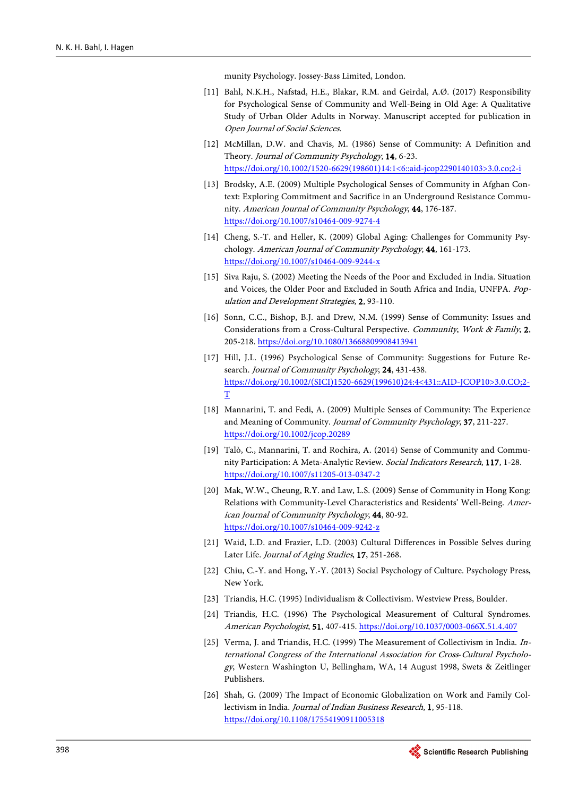munity Psychology. Jossey-Bass Limited, London.

- <span id="page-11-4"></span>[11] Bahl, N.K.H., Nafstad, H.E., Blakar, R.M. and Geirdal, A.Ø. (2017) Responsibility for Psychological Sense of Community and Well-Being in Old Age: A Qualitative Study of Urban Older Adults in Norway. Manuscript accepted for publication in Open Journal of Social Sciences.
- <span id="page-11-0"></span>[12] McMillan, D.W. and Chavis, M. (1986) Sense of Community: A Definition and Theory. Journal of Community Psychology, 14, 6-23. [https://doi.org/10.1002/1520-6629\(198601\)14:1<6::aid-jcop2290140103>3.0.co;2-i](https://doi.org/10.1002/1520-6629(198601)14:1%3C6::aid-jcop2290140103%3E3.0.co;2-i)
- <span id="page-11-1"></span>[13] Brodsky, A.E. (2009) Multiple Psychological Senses of Community in Afghan Context: Exploring Commitment and Sacrifice in an Underground Resistance Community. American Journal of Community Psychology, 44, 176-187. <https://doi.org/10.1007/s10464-009-9274-4>
- <span id="page-11-2"></span>[14] Cheng, S.-T. and Heller, K. (2009) Global Aging: Challenges for Community Psychology. American Journal of Community Psychology, 44, 161-173. <https://doi.org/10.1007/s10464-009-9244-x>
- <span id="page-11-3"></span>[15] Siva Raju, S. (2002) Meeting the Needs of the Poor and Excluded in India. Situation and Voices, the Older Poor and Excluded in South Africa and India, UNFPA. Population and Development Strategies, 2, 93-110.
- <span id="page-11-5"></span>[16] Sonn, C.C., Bishop, B.J. and Drew, N.M. (1999) Sense of Community: Issues and Considerations from a Cross-Cultural Perspective. Community, Work & Family, 2, 205-218. <https://doi.org/10.1080/13668809908413941>
- <span id="page-11-6"></span>[17] Hill, J.L. (1996) Psychological Sense of Community: Suggestions for Future Research. Journal of Community Psychology, 24, 431-438. [https://doi.org/10.1002/\(SICI\)1520-6629\(199610\)24:4<431::AID-JCOP10>3.0.CO;2-](https://doi.org/10.1002/(SICI)1520-6629(199610)24:4%3C431::AID-JCOP10%3E3.0.CO;2-T) [T](https://doi.org/10.1002/(SICI)1520-6629(199610)24:4%3C431::AID-JCOP10%3E3.0.CO;2-T)
- <span id="page-11-7"></span>[18] Mannarini, T. and Fedi, A. (2009) Multiple Senses of Community: The Experience and Meaning of Community. Journal of Community Psychology, 37, 211-227. <https://doi.org/10.1002/jcop.20289>
- <span id="page-11-8"></span>[19] Talò, C., Mannarini, T. and Rochira, A. (2014) Sense of Community and Community Participation: A Meta-Analytic Review. Social Indicators Research, 117, 1-28. <https://doi.org/10.1007/s11205-013-0347-2>
- <span id="page-11-9"></span>[20] Mak, W.W., Cheung, R.Y. and Law, L.S. (2009) Sense of Community in Hong Kong: Relations with Community-Level Characteristics and Residents' Well-Being. American Journal of Community Psychology, 44, 80-92. <https://doi.org/10.1007/s10464-009-9242-z>
- <span id="page-11-10"></span>[21] Waid, L.D. and Frazier, L.D. (2003) Cultural Differences in Possible Selves during Later Life. Journal of Aging Studies, 17, 251-268.
- <span id="page-11-11"></span>[22] Chiu, C.-Y. and Hong, Y.-Y. (2013) Social Psychology of Culture. Psychology Press, New York.
- <span id="page-11-12"></span>[23] Triandis, H.C. (1995) Individualism & Collectivism. Westview Press, Boulder.
- <span id="page-11-13"></span>[24] Triandis, H.C. (1996) The Psychological Measurement of Cultural Syndromes. American Psychologist, 51, 407-415. <https://doi.org/10.1037/0003-066X.51.4.407>
- <span id="page-11-14"></span>[25] Verma, J. and Triandis, H.C. (1999) The Measurement of Collectivism in India. International Congress of the International Association for Cross-Cultural Psychology, Western Washington U, Bellingham, WA, 14 August 1998, Swets & Zeitlinger Publishers.
- <span id="page-11-15"></span>[26] Shah, G. (2009) The Impact of Economic Globalization on Work and Family Collectivism in India. Journal of Indian Business Research, 1, 95-118. <https://doi.org/10.1108/17554190911005318>

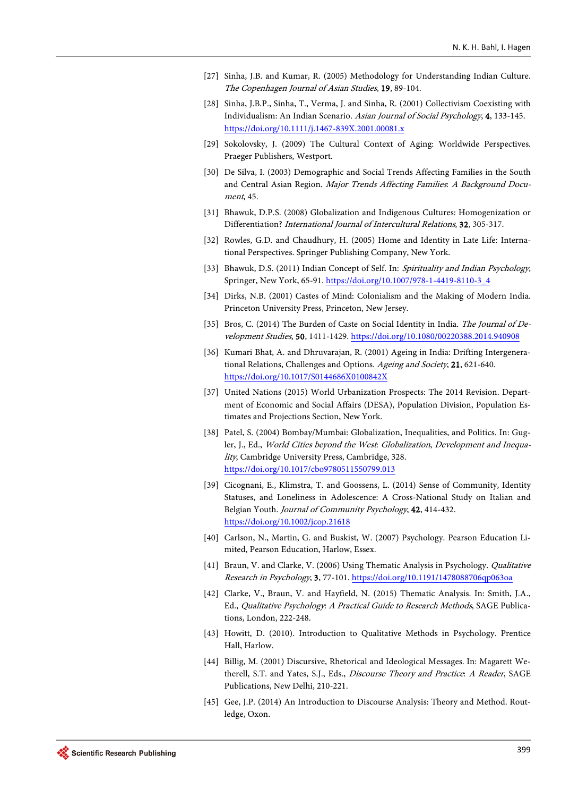- <span id="page-12-0"></span>[27] Sinha, J.B. and Kumar, R. (2005) Methodology for Understanding Indian Culture. The Copenhagen Journal of Asian Studies, 19, 89-104.
- <span id="page-12-1"></span>[28] Sinha, J.B.P., Sinha, T., Verma, J. and Sinha, R. (2001) Collectivism Coexisting with Individualism: An Indian Scenario. Asian Journal of Social Psychology, 4, 133-145. <https://doi.org/10.1111/j.1467-839X.2001.00081.x>
- <span id="page-12-2"></span>[29] Sokolovsky, J. (2009) The Cultural Context of Aging: Worldwide Perspectives. Praeger Publishers, Westport.
- <span id="page-12-3"></span>[30] De Silva, I. (2003) Demographic and Social Trends Affecting Families in the South and Central Asian Region. Major Trends Affecting Families: A Background Document, 45.
- <span id="page-12-4"></span>[31] Bhawuk, D.P.S. (2008) Globalization and Indigenous Cultures: Homogenization or Differentiation? International Journal of Intercultural Relations, 32, 305-317.
- <span id="page-12-5"></span>[32] Rowles, G.D. and Chaudhury, H. (2005) Home and Identity in Late Life: International Perspectives. Springer Publishing Company, New York.
- <span id="page-12-6"></span>[33] Bhawuk, D.S. (2011) Indian Concept of Self. In: Spirituality and Indian Psychology, Springer, New York, 65-91. [https://doi.org/10.1007/978-1-4419-8110-3\\_4](https://doi.org/10.1007/978-1-4419-8110-3_4)
- <span id="page-12-7"></span>[34] Dirks, N.B. (2001) Castes of Mind: Colonialism and the Making of Modern India. Princeton University Press, Princeton, New Jersey.
- <span id="page-12-8"></span>[35] Bros, C. (2014) The Burden of Caste on Social Identity in India. The Journal of Development Studies, 50, 1411-1429. <https://doi.org/10.1080/00220388.2014.940908>
- <span id="page-12-9"></span>[36] Kumari Bhat, A. and Dhruvarajan, R. (2001) Ageing in India: Drifting Intergenerational Relations, Challenges and Options. Ageing and Society, 21, 621-640. <https://doi.org/10.1017/S0144686X0100842X>
- <span id="page-12-10"></span>[37] United Nations (2015) World Urbanization Prospects: The 2014 Revision. Department of Economic and Social Affairs (DESA), Population Division, Population Estimates and Projections Section, New York.
- <span id="page-12-11"></span>[38] Patel, S. (2004) Bombay/Mumbai: Globalization, Inequalities, and Politics. In: Gugler, J., Ed., World Cities beyond the West: Globalization, Development and Inequality, Cambridge University Press, Cambridge, 328. <https://doi.org/10.1017/cbo9780511550799.013>
- <span id="page-12-12"></span>[39] Cicognani, E., Klimstra, T. and Goossens, L. (2014) Sense of Community, Identity Statuses, and Loneliness in Adolescence: A Cross-National Study on Italian and Belgian Youth. Journal of Community Psychology, 42, 414-432. <https://doi.org/10.1002/jcop.21618>
- <span id="page-12-13"></span>[40] Carlson, N., Martin, G. and Buskist, W. (2007) Psychology. Pearson Education Limited, Pearson Education, Harlow, Essex.
- <span id="page-12-14"></span>[41] Braun, V. and Clarke, V. (2006) Using Thematic Analysis in Psychology. *Qualitative* Research in Psychology, 3, 77-101.<https://doi.org/10.1191/1478088706qp063oa>
- <span id="page-12-15"></span>[42] Clarke, V., Braun, V. and Hayfield, N. (2015) Thematic Analysis. In: Smith, J.A., Ed., Qualitative Psychology: A Practical Guide to Research Methods, SAGE Publications, London, 222-248.
- <span id="page-12-16"></span>[43] Howitt, D. (2010). Introduction to Qualitative Methods in Psychology. Prentice Hall, Harlow.
- <span id="page-12-17"></span>[44] Billig, M. (2001) Discursive, Rhetorical and Ideological Messages. In: Magarett Wetherell, S.T. and Yates, S.J., Eds., Discourse Theory and Practice: A Reader, SAGE Publications, New Delhi, 210-221.
- <span id="page-12-18"></span>[45] Gee, J.P. (2014) An Introduction to Discourse Analysis: Theory and Method. Routledge, Oxon.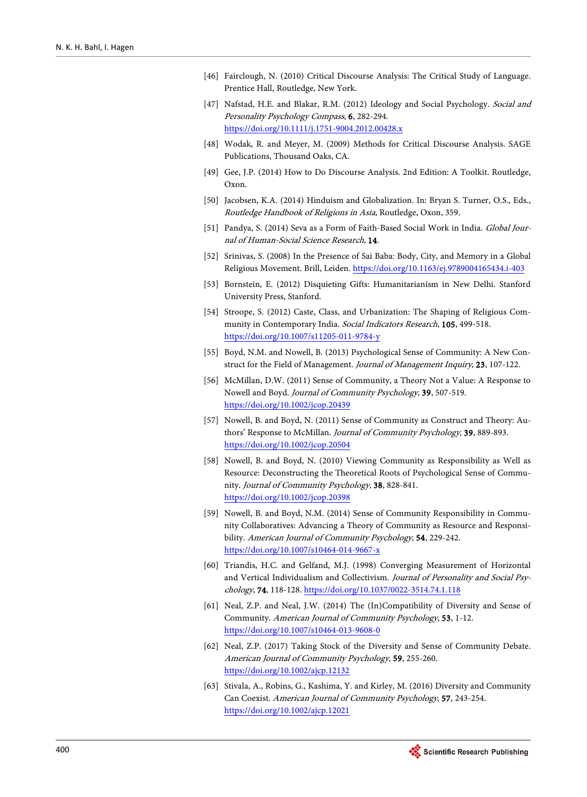- <span id="page-13-0"></span>[46] Fairclough, N. (2010) Critical Discourse Analysis: The Critical Study of Language. Prentice Hall, Routledge, New York.
- <span id="page-13-1"></span>[47] Nafstad, H.E. and Blakar, R.M. (2012) Ideology and Social Psychology. Social and Personality Psychology Compass, 6, 282-294. <https://doi.org/10.1111/j.1751-9004.2012.00428.x>
- <span id="page-13-2"></span>[48] Wodak, R. and Meyer, M. (2009) Methods for Critical Discourse Analysis. SAGE Publications, Thousand Oaks, CA.
- <span id="page-13-3"></span>[49] Gee, J.P. (2014) How to Do Discourse Analysis. 2nd Edition: A Toolkit. Routledge, Oxon.
- <span id="page-13-4"></span>[50] Jacobsen, K.A. (2014) Hinduism and Globalization. In: Bryan S. Turner, O.S., Eds., Routledge Handbook of Religions in Asia, Routledge, Oxon, 359.
- <span id="page-13-5"></span>[51] Pandya, S. (2014) Seva as a Form of Faith-Based Social Work in India. Global Journal of Human-Social Science Research, 14.
- <span id="page-13-6"></span>[52] Srinivas, S. (2008) In the Presence of Sai Baba: Body, City, and Memory in a Global Religious Movement. Brill, Leiden. <https://doi.org/10.1163/ej.9789004165434.i-403>
- <span id="page-13-7"></span>[53] Bornstein, E. (2012) Disquieting Gifts: Humanitarianism in New Delhi. Stanford University Press, Stanford.
- <span id="page-13-8"></span>[54] Stroope, S. (2012) Caste, Class, and Urbanization: The Shaping of Religious Community in Contemporary India. Social Indicators Research, 105, 499-518. <https://doi.org/10.1007/s11205-011-9784-y>
- <span id="page-13-9"></span>[55] Boyd, N.M. and Nowell, B. (2013) Psychological Sense of Community: A New Construct for the Field of Management. Journal of Management Inquiry, 23, 107-122.
- <span id="page-13-10"></span>[56] McMillan, D.W. (2011) Sense of Community, a Theory Not a Value: A Response to Nowell and Boyd. Journal of Community Psychology, 39, 507-519. <https://doi.org/10.1002/jcop.20439>
- <span id="page-13-11"></span>[57] Nowell, B. and Boyd, N. (2011) Sense of Community as Construct and Theory: Authors' Response to McMillan. Journal of Community Psychology, 39, 889-893. <https://doi.org/10.1002/jcop.20504>
- <span id="page-13-12"></span>[58] Nowell, B. and Boyd, N. (2010) Viewing Community as Responsibility as Well as Resource: Deconstructing the Theoretical Roots of Psychological Sense of Community. Journal of Community Psychology, 38, 828-841. <https://doi.org/10.1002/jcop.20398>
- <span id="page-13-13"></span>[59] Nowell, B. and Boyd, N.M. (2014) Sense of Community Responsibility in Community Collaboratives: Advancing a Theory of Community as Resource and Responsibility. American Journal of Community Psychology, 54, 229-242. <https://doi.org/10.1007/s10464-014-9667-x>
- <span id="page-13-14"></span>[60] Triandis, H.C. and Gelfand, M.J. (1998) Converging Measurement of Horizontal and Vertical Individualism and Collectivism. Journal of Personality and Social Psychology, 74, 118-128. <https://doi.org/10.1037/0022-3514.74.1.118>
- <span id="page-13-15"></span>[61] Neal, Z.P. and Neal, J.W. (2014) The (In)Compatibility of Diversity and Sense of Community. American Journal of Community Psychology, 53, 1-12. <https://doi.org/10.1007/s10464-013-9608-0>
- <span id="page-13-16"></span>[62] Neal, Z.P. (2017) Taking Stock of the Diversity and Sense of Community Debate. American Journal of Community Psychology, 59, 255-260. <https://doi.org/10.1002/ajcp.12132>
- <span id="page-13-17"></span>[63] Stivala, A., Robins, G., Kashima, Y. and Kirley, M. (2016) Diversity and Community Can Coexist. American Journal of Community Psychology, 57, 243-254. <https://doi.org/10.1002/ajcp.12021>